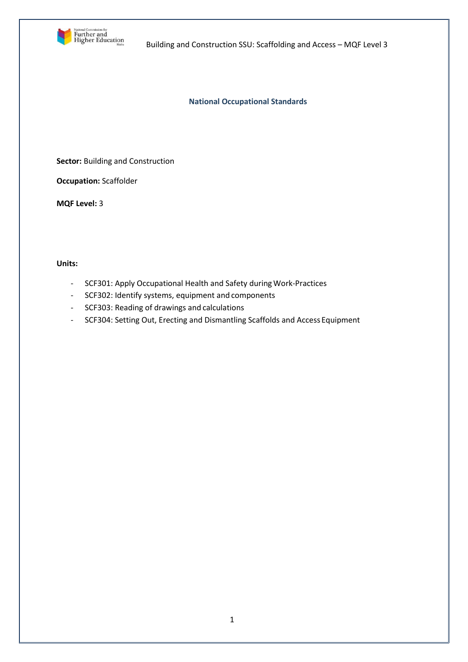

**National Occupational Standards**

**Sector: Building and Construction** 

**Occupation:** Scaffolder

**MQF Level:** 3

# **Units:**

- SCF301: Apply Occupational Health and Safety during Work-Practices
- SCF302: Identify systems, equipment and components
- SCF303: Reading of drawings and calculations
- SCF304: Setting Out, Erecting and Dismantling Scaffolds and Access Equipment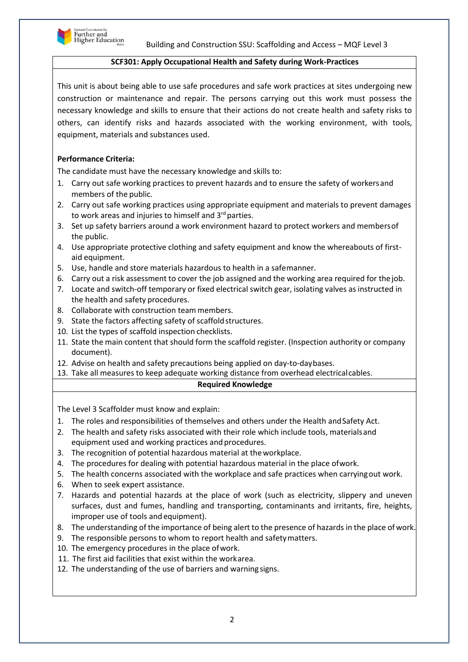

## **SCF301: Apply Occupational Health and Safety during Work-Practices**

This unit is about being able to use safe procedures and safe work practices at sites undergoing new construction or maintenance and repair. The persons carrying out this work must possess the necessary knowledge and skills to ensure that their actions do not create health and safety risks to others, can identify risks and hazards associated with the working environment, with tools, equipment, materials and substances used.

# **Performance Criteria:**

The candidate must have the necessary knowledge and skills to:

- 1. Carry out safe working practices to prevent hazards and to ensure the safety of workersand members of the public.
- 2. Carry out safe working practices using appropriate equipment and materials to prevent damages to work areas and injuries to himself and 3rd parties.
- 3. Set up safety barriers around a work environment hazard to protect workers and membersof the public.
- 4. Use appropriate protective clothing and safety equipment and know the whereabouts of firstaid equipment.
- 5. Use, handle and store materials hazardous to health in a safemanner.
- 6. Carry out a risk assessment to cover the job assigned and the working area required for the job.
- 7. Locate and switch-off temporary or fixed electrical switch gear, isolating valves as instructed in the health and safety procedures.
- 8. Collaborate with construction team members.
- 9. State the factors affecting safety of scaffold structures.
- 10. List the types of scaffold inspection checklists.
- 11. State the main content that should form the scaffold register. (Inspection authority or company document).
- 12. Advise on health and safety precautions being applied on day-to-daybases.
- 13. Take all measures to keep adequate working distance from overhead electricalcables.

#### **Required Knowledge**

The Level 3 Scaffolder must know and explain:

- 1. The roles and responsibilities of themselves and others under the Health andSafety Act.
- 2. The health and safety risks associated with their role which include tools, materialsand equipment used and working practices and procedures.
- 3. The recognition of potential hazardous material at theworkplace.
- 4. The procedures for dealing with potential hazardous material in the place ofwork.
- 5. The health concerns associated with the workplace and safe practices when carryingout work.
- 6. When to seek expert assistance.
- 7. Hazards and potential hazards at the place of work (such as electricity, slippery and uneven surfaces, dust and fumes, handling and transporting, contaminants and irritants, fire, heights, improper use of tools and equipment).
- 8. The understanding of the importance of being alert to the presence of hazards in the place ofwork.
- 9. The responsible persons to whom to report health and safetymatters.
- 10. The emergency procedures in the place ofwork.
- 11. The first aid facilities that exist within the workarea.
- 12. The understanding of the use of barriers and warning signs.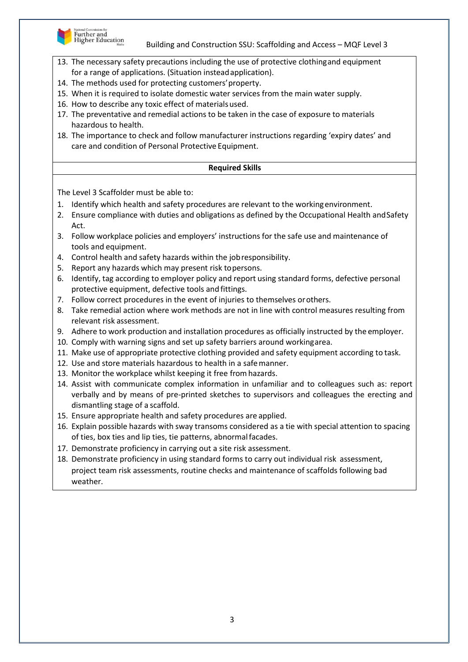

- 13. The necessary safety precautions including the use of protective clothingand equipment for a range of applications. (Situation insteadapplication).
- 14. The methods used for protecting customers'property.
- 15. When it is required to isolate domestic water services from the main water supply.
- 16. How to describe any toxic effect of materials used.
- 17. The preventative and remedial actions to be taken in the case of exposure to materials hazardous to health.
- 18. The importance to check and follow manufacturer instructions regarding 'expiry dates' and care and condition of Personal Protective Equipment.

# **Required Skills**

- 1. Identify which health and safety procedures are relevant to the workingenvironment.
- 2. Ensure compliance with duties and obligations as defined by the Occupational Health and Safety Act.
- 3. Follow workplace policies and employers' instructions for the safe use and maintenance of tools and equipment.
- 4. Control health and safety hazards within the jobresponsibility.
- 5. Report any hazards which may present risk topersons.
- 6. Identify, tag according to employer policy and report using standard forms, defective personal protective equipment, defective tools and fittings.
- 7. Follow correct procedures in the event of injuries to themselves orothers.
- 8. Take remedial action where work methods are not in line with control measures resulting from relevant risk assessment.
- 9. Adhere to work production and installation procedures as officially instructed by the employer.
- 10. Comply with warning signs and set up safety barriers around workingarea.
- 11. Make use of appropriate protective clothing provided and safety equipment according to task.
- 12. Use and store materials hazardous to health in a safemanner.
- 13. Monitor the workplace whilst keeping it free fromhazards.
- 14. Assist with communicate complex information in unfamiliar and to colleagues such as: report verbally and by means of pre-printed sketches to supervisors and colleagues the erecting and dismantling stage of a scaffold.
- 15. Ensure appropriate health and safety procedures are applied.
- 16. Explain possible hazards with sway transoms considered as a tie with special attention to spacing of ties, box ties and lip ties, tie patterns, abnormalfacades.
- 17. Demonstrate proficiency in carrying out a site risk assessment.
- 18. Demonstrate proficiency in using standard forms to carry out individual risk assessment, project team risk assessments, routine checks and maintenance of scaffolds following bad weather.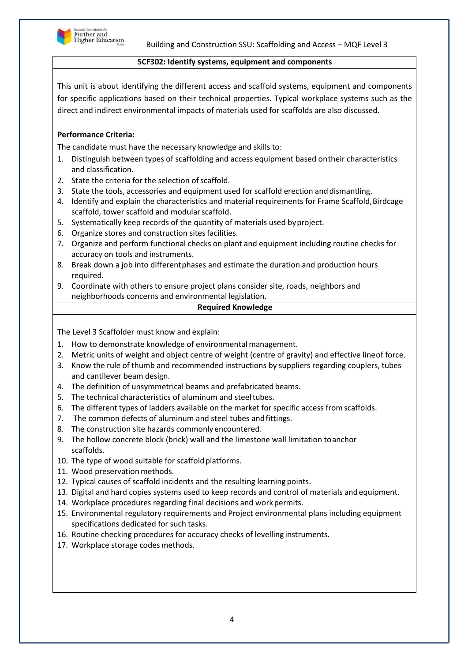

## **SCF302: Identify systems, equipment and components**

This unit is about identifying the different access and scaffold systems, equipment and components for specific applications based on their technical properties. Typical workplace systems such as the direct and indirect environmental impacts of materials used for scaffolds are also discussed.

# **Performance Criteria:**

The candidate must have the necessary knowledge and skills to:

- 1. Distinguish between types of scaffolding and access equipment based ontheir characteristics and classification.
- 2. State the criteria for the selection of scaffold.
- 3. State the tools, accessories and equipment used for scaffold erection and dismantling.
- 4. Identify and explain the characteristics and material requirements for Frame Scaffold, Birdcage scaffold, tower scaffold and modular scaffold.
- 5. Systematically keep records of the quantity of materials used byproject.
- 6. Organize stores and construction sites facilities.
- 7. Organize and perform functional checks on plant and equipment including routine checks for accuracy on tools and instruments.
- 8. Break down a job into differentphases and estimate the duration and production hours required.
- 9. Coordinate with others to ensure project plans consider site, roads, neighbors and neighborhoods concerns and environmental legislation.

## **Required Knowledge**

The Level 3 Scaffolder must know and explain:

- 1. How to demonstrate knowledge of environmental management.
- 2. Metric units of weight and object centre of weight (centre of gravity) and effective lineof force.
- 3. Know the rule of thumb and recommended instructions by suppliers regarding couplers, tubes and cantilever beam design.
- 4. The definition of unsymmetrical beams and prefabricated beams.
- 5. The technical characteristics of aluminum and steeltubes.
- 6. The different types of ladders available on the market for specific access from scaffolds.
- 7. The common defects of aluminum and steel tubes andfittings.
- 8. The construction site hazards commonly encountered.
- 9. The hollow concrete block (brick) wall and the limestone wall limitation toanchor scaffolds.
- 10. The type of wood suitable for scaffold platforms.
- 11. Wood preservation methods.
- 12. Typical causes of scaffold incidents and the resulting learning points.
- 13. Digital and hard copies systems used to keep records and control of materials andequipment.
- 14. Workplace procedures regarding final decisions and work permits.
- 15. Environmental regulatory requirements and Project environmental plans including equipment specifications dedicated for such tasks.
- 16. Routine checking procedures for accuracy checks of levelling instruments.
- 17. Workplace storage codes methods.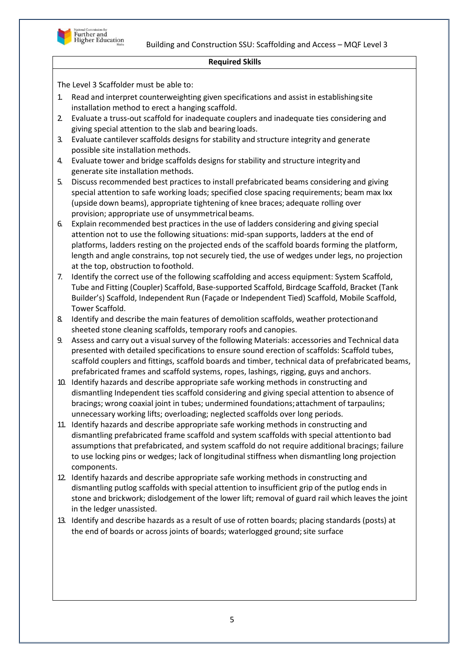

## **Required Skills**

- 1. Read and interpret counterweighting given specifications and assist in establishingsite installation method to erect a hanging scaffold.
- 2. Evaluate a truss-out scaffold for inadequate couplers and inadequate ties considering and giving special attention to the slab and bearing loads.
- 3. Evaluate cantilever scaffolds designs forstability and structure integrity and generate possible site installation methods.
- 4. Evaluate tower and bridge scaffolds designs for stability and structure integrityand generate site installation methods.
- 5. Discuss recommended best practices to install prefabricated beams considering and giving special attention to safe working loads; specified close spacing requirements; beam max Ixx (upside down beams), appropriate tightening of knee braces; adequate rolling over provision; appropriate use of unsymmetrical beams.
- 6. Explain recommended best practices in the use of ladders considering and giving special attention not to use the following situations: mid-span supports, ladders at the end of platforms, ladders resting on the projected ends of the scaffold boards forming the platform, length and angle constrains, top not securely tied, the use of wedges under legs, no projection at the top, obstruction tofoothold.
- 7. Identify the correct use of the following scaffolding and access equipment: System Scaffold, Tube and Fitting (Coupler) Scaffold, Base-supported Scaffold, Birdcage Scaffold, Bracket (Tank Builder's) Scaffold, Independent Run (Façade or Independent Tied) Scaffold, Mobile Scaffold, Tower Scaffold.
- 8. Identify and describe the main features of demolition scaffolds, weather protectionand sheeted stone cleaning scaffolds, temporary roofs and canopies.
- 9. Assess and carry out a visual survey of the following Materials: accessories and Technical data presented with detailed specifications to ensure sound erection of scaffolds: Scaffold tubes, scaffold couplers and fittings, scaffold boards and timber, technical data of prefabricated beams, prefabricated frames and scaffold systems, ropes, lashings, rigging, guys and anchors.
- 10. Identify hazards and describe appropriate safe working methods in constructing and dismantling Independent ties scaffold considering and giving special attention to absence of bracings; wrong coaxial joint in tubes; undermined foundations;attachment of tarpaulins; unnecessary working lifts; overloading; neglected scaffolds over long periods.
- 11. Identify hazards and describe appropriate safe working methods in constructing and dismantling prefabricated frame scaffold and system scaffolds with special attentionto bad assumptions that prefabricated, and system scaffold do not require additional bracings; failure to use locking pins or wedges; lack of longitudinal stiffness when dismantling long projection components.
- 12. Identify hazards and describe appropriate safe working methods in constructing and dismantling putlog scaffolds with special attention to insufficient grip of the putlog ends in stone and brickwork; dislodgement of the lower lift; removal of guard rail which leaves the joint in the ledger unassisted.
- 13. Identify and describe hazards as a result of use of rotten boards; placing standards (posts) at the end of boards or across joints of boards; waterlogged ground; site surface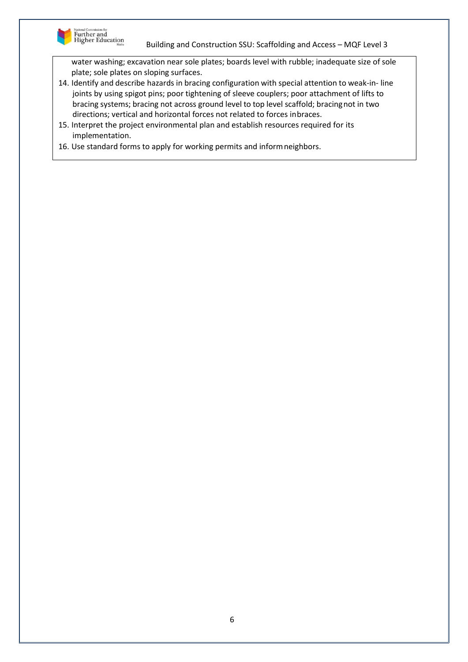

water washing; excavation near sole plates; boards level with rubble; inadequate size of sole plate; sole plates on sloping surfaces.

- 14. Identify and describe hazards in bracing configuration with special attention to weak-in- line joints by using spigot pins; poor tightening of sleeve couplers; poor attachment of lifts to bracing systems; bracing not across ground level to top level scaffold; bracingnot in two directions; vertical and horizontal forces not related to forces inbraces.
- 15. Interpret the project environmental plan and establish resources required for its implementation.
- 16. Use standard forms to apply for working permits and informneighbors.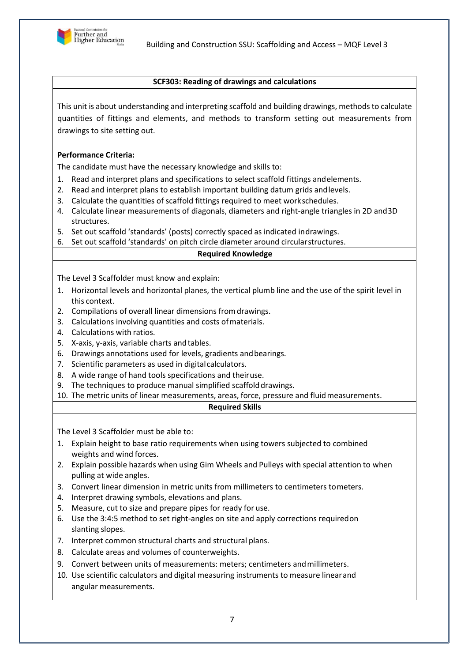

#### **SCF303: Reading of drawings and calculations**

This unit is about understanding and interpreting scaffold and building drawings, methods to calculate quantities of fittings and elements, and methods to transform setting out measurements from drawings to site setting out.

## **Performance Criteria:**

The candidate must have the necessary knowledge and skills to:

- 1. Read and interpret plans and specifications to select scaffold fittings andelements.
- 2. Read and interpret plans to establish important building datum grids andlevels.
- 3. Calculate the quantities of scaffold fittings required to meet workschedules.
- 4. Calculate linear measurements of diagonals, diameters and right-angle triangles in 2D and3D structures.
- 5. Set out scaffold 'standards' (posts) correctly spaced as indicated indrawings.
- 6. Set out scaffold 'standards' on pitch circle diameter around circularstructures.

## **Required Knowledge**

The Level 3 Scaffolder must know and explain:

- 1. Horizontal levels and horizontal planes, the vertical plumb line and the use of the spirit level in this context.
- 2. Compilations of overall linear dimensions fromdrawings.
- 3. Calculations involving quantities and costs ofmaterials.
- 4. Calculations with ratios.
- 5. X-axis, y-axis, variable charts andtables.
- 6. Drawings annotations used for levels, gradients andbearings.
- 7. Scientific parameters as used in digitalcalculators.
- 8. A wide range of hand tools specifications and theiruse.
- 9. The techniques to produce manual simplified scaffold drawings.
- 10. The metric units of linear measurements, areas, force, pressure and fluidmeasurements.

#### **Required Skills**

- 1. Explain height to base ratio requirements when using towers subjected to combined weights and wind forces.
- 2. Explain possible hazards when using Gim Wheels and Pulleys with special attention to when pulling at wide angles.
- 3. Convert linear dimension in metric units from millimeters to centimeters tometers.
- 4. Interpret drawing symbols, elevations and plans.
- 5. Measure, cut to size and prepare pipes for ready for use.
- 6. Use the 3:4:5 method to set right-angles on site and apply corrections requiredon slanting slopes.
- 7. Interpret common structural charts and structural plans.
- 8. Calculate areas and volumes of counterweights.
- 9. Convert between units of measurements: meters; centimeters andmillimeters.
- 10. Use scientific calculators and digital measuring instruments to measure linearand angular measurements.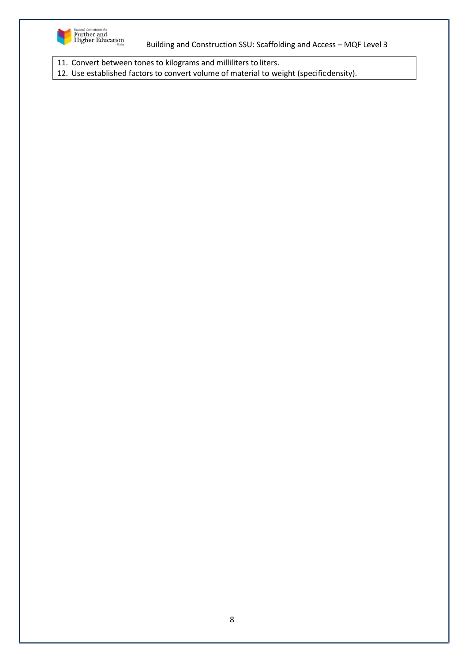

11. Convert between tones to kilograms and milliliters to liters.

12. Use established factors to convert volume of material to weight (specificdensity).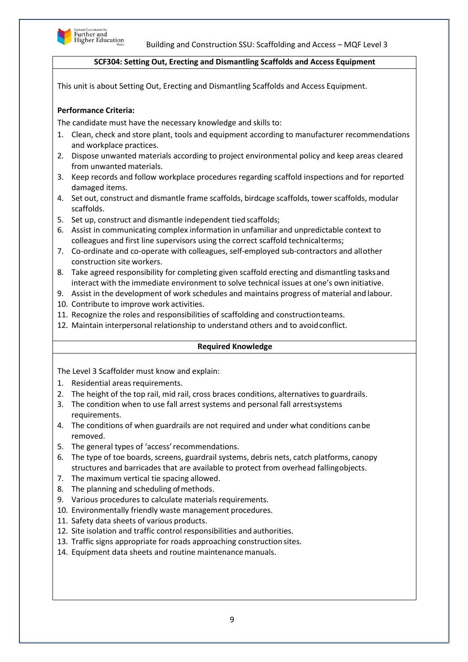

# **SCF304: Setting Out, Erecting and Dismantling Scaffolds and Access Equipment**

This unit is about Setting Out, Erecting and Dismantling Scaffolds and Access Equipment.

# **Performance Criteria:**

The candidate must have the necessary knowledge and skills to:

- 1. Clean, check and store plant, tools and equipment according to manufacturer recommendations and workplace practices.
- 2. Dispose unwanted materials according to project environmental policy and keep areas cleared from unwanted materials.
- 3. Keep records and follow workplace procedures regarding scaffold inspections and for reported damaged items.
- 4. Set out, construct and dismantle frame scaffolds, birdcage scaffolds, tower scaffolds, modular scaffolds.
- 5. Set up, construct and dismantle independent tied scaffolds;
- 6. Assist in communicating complex information in unfamiliar and unpredictable context to colleagues and first line supervisors using the correct scaffold technicalterms;
- 7. Co-ordinate and co-operate with colleagues, self-employed sub-contractors and allother construction site workers.
- 8. Take agreed responsibility for completing given scaffold erecting and dismantling tasksand interact with the immediate environment to solve technical issues at one's own initiative.
- 9. Assist in the development of work schedules and maintains progress of material and labour.
- 10. Contribute to improve work activities.
- 11. Recognize the roles and responsibilities of scaffolding and constructionteams.
- 12. Maintain interpersonal relationship to understand others and to avoidconflict.

#### **Required Knowledge**

The Level 3 Scaffolder must know and explain:

- 1. Residential areas requirements.
- 2. The height of the top rail, mid rail, cross braces conditions, alternatives to guardrails.
- 3. The condition when to use fall arrest systems and personal fall arrestsystems requirements.
- 4. The conditions of when guardrails are not required and under what conditions canbe removed.
- 5. The general types of 'access'recommendations.
- 6. The type of toe boards, screens, guardrail systems, debris nets, catch platforms, canopy structures and barricades that are available to protect from overhead fallingobjects.
- 7. The maximum vertical tie spacing allowed.
- 8. The planning and scheduling of methods.
- 9. Various procedures to calculate materials requirements.
- 10. Environmentally friendly waste management procedures.
- 11. Safety data sheets of various products.
- 12. Site isolation and traffic control responsibilities and authorities.
- 13. Traffic signs appropriate for roads approaching construction sites.
- 14. Equipment data sheets and routine maintenance manuals.